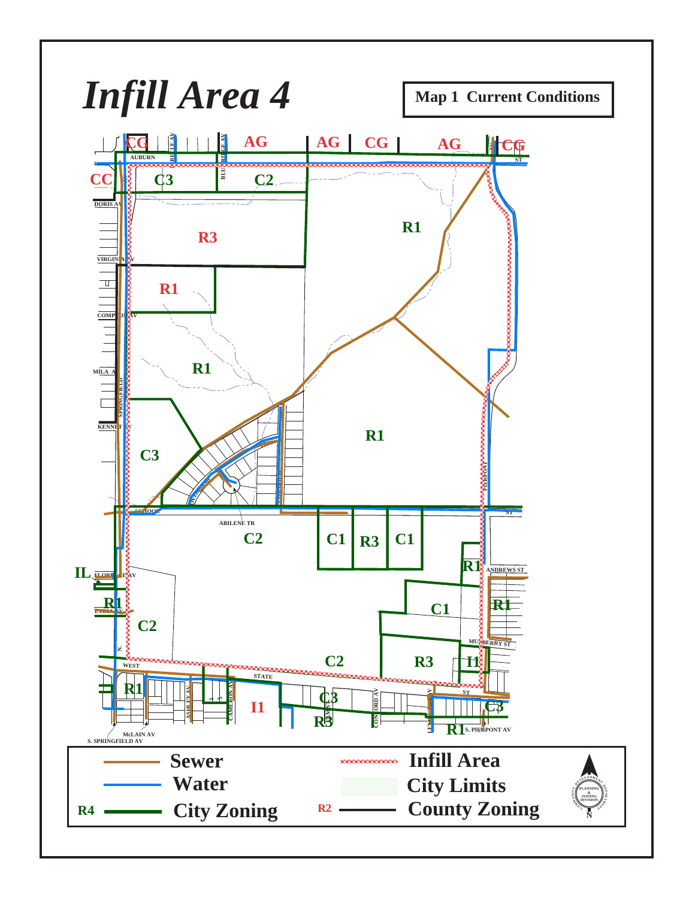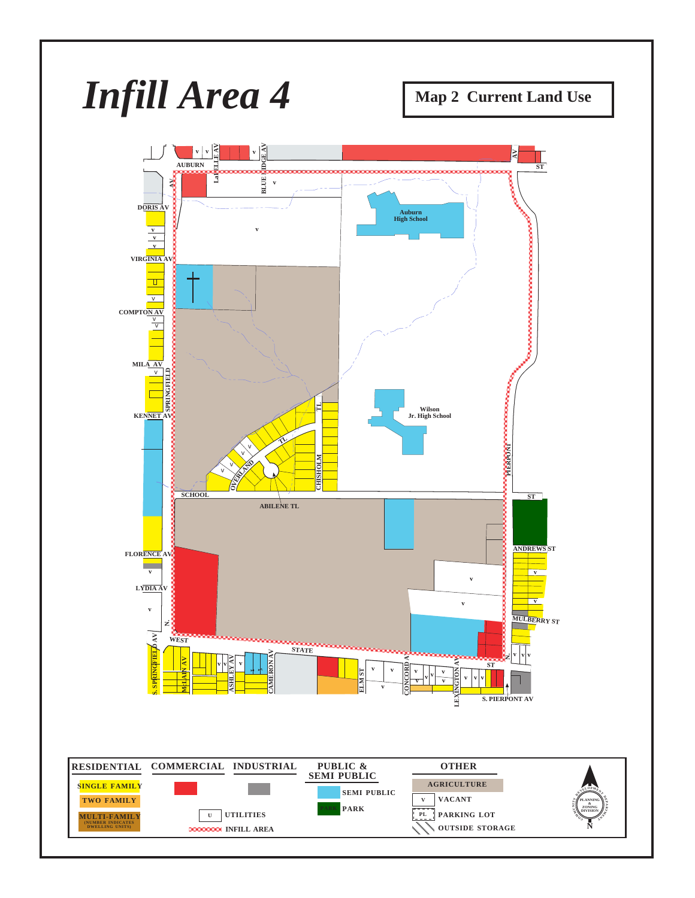